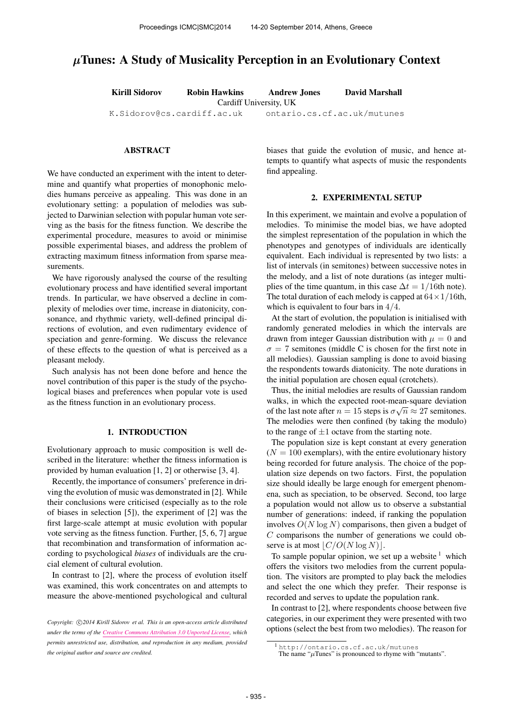# µTunes: A Study of Musicality Perception in an Evolutionary Context

Kirill Sidorov Robin Hawkins Andrew Jones David Marshall

Cardiff University, UK

[K.Sidorov@cs.cardiff.ac.uk](mailto:K.Sidorov@cs.cardiff.ac.uk) ontario.cs.cf.ac.uk/mutunes

## ABSTRACT

We have conducted an experiment with the intent to determine and quantify what properties of monophonic melodies humans perceive as appealing. This was done in an evolutionary setting: a population of melodies was subjected to Darwinian selection with popular human vote serving as the basis for the fitness function. We describe the experimental procedure, measures to avoid or minimise possible experimental biases, and address the problem of extracting maximum fitness information from sparse measurements.

We have rigorously analysed the course of the resulting evolutionary process and have identified several important trends. In particular, we have observed a decline in complexity of melodies over time, increase in diatonicity, consonance, and rhythmic variety, well-defined principal directions of evolution, and even rudimentary evidence of speciation and genre-forming. We discuss the relevance of these effects to the question of what is perceived as a pleasant melody.

Such analysis has not been done before and hence the novel contribution of this paper is the study of the psychological biases and preferences when popular vote is used as the fitness function in an evolutionary process.

## 1. INTRODUCTION

Evolutionary approach to music composition is well described in the literature: whether the fitness information is provided by human evaluation [1, 2] or otherwise [3, 4].

Recently, the importance of consumers' preference in driving the evolution of music was demonstrated in [2]. While their conclusions were criticised (especially as to the role of biases in selection [5]), the experiment of [2] was the first large-scale attempt at music evolution with popular vote serving as the fitness function. Further, [5, 6, 7] argue that recombination and transformation of information according to psychological *biases* of individuals are the crucial element of cultural evolution.

In contrast to [2], where the process of evolution itself was examined, this work concentrates on and attempts to measure the above-mentioned psychological and cultural

biases that guide the evolution of music, and hence attempts to quantify what aspects of music the respondents find appealing.

#### 2. EXPERIMENTAL SETUP

In this experiment, we maintain and evolve a population of melodies. To minimise the model bias, we have adopted the simplest representation of the population in which the phenotypes and genotypes of individuals are identically equivalent. Each individual is represented by two lists: a list of intervals (in semitones) between successive notes in the melody, and a list of note durations (as integer multiplies of the time quantum, in this case  $\Delta t = 1/16$ th note). The total duration of each melody is capped at  $64 \times 1/16$ th, which is equivalent to four bars in 4/4.

At the start of evolution, the population is initialised with randomly generated melodies in which the intervals are drawn from integer Gaussian distribution with  $\mu = 0$  and  $\sigma = 7$  semitones (middle C is chosen for the first note in all melodies). Gaussian sampling is done to avoid biasing the respondents towards diatonicity. The note durations in the initial population are chosen equal (crotchets).

Thus, the initial melodies are results of Gaussian random walks, in which the expected root-mean-square deviation of the last note after  $n = 15$  steps is  $\sigma \sqrt{n} \approx 27$  semitones. The melodies were then confined (by taking the modulo) to the range of  $\pm 1$  octave from the starting note.

The population size is kept constant at every generation  $(N = 100$  exemplars), with the entire evolutionary history being recorded for future analysis. The choice of the population size depends on two factors. First, the population size should ideally be large enough for emergent phenomena, such as speciation, to be observed. Second, too large a population would not allow us to observe a substantial number of generations: indeed, if ranking the population involves  $O(N \log N)$  comparisons, then given a budget of  $C$  comparisons the number of generations we could observe is at most  $|C/O(N \log N)|$ .

To sample popular opinion, we set up a website  $<sup>1</sup>$  which</sup> offers the visitors two melodies from the current population. The visitors are prompted to play back the melodies and select the one which they prefer. Their response is recorded and serves to update the population rank.

In contrast to [2], where respondents choose between five categories, in our experiment they were presented with two options (select the best from two melodies). The reason for

Copyright:  $\bigcirc$ 2014 Kirill Sidorov et al. This is an open-access article distributed *under the terms of the [Creative Commons Attribution 3.0 Unported License,](http://creativecommons.org/licenses/by/3.0/) which permits unrestricted use, distribution, and reproduction in any medium, provided the original author and source are credited.*

<sup>1</sup> <http://ontario.cs.cf.ac.uk/mutunes>

The name " $\mu$ Tunes" is pronounced to rhyme with "mutants".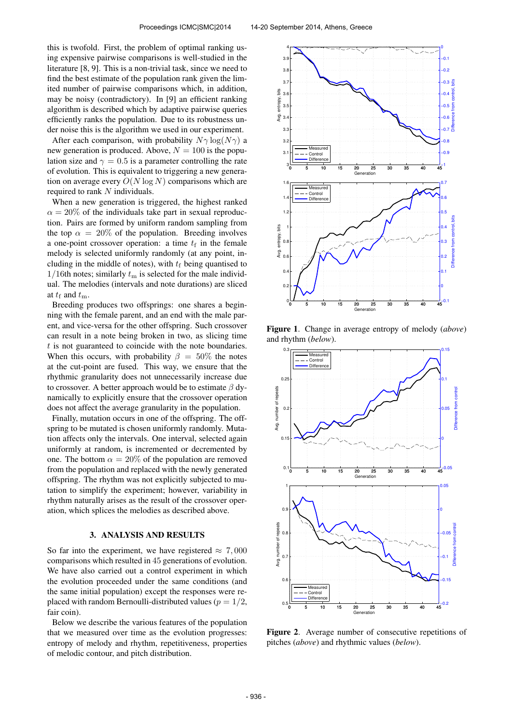this is twofold. First, the problem of optimal ranking using expensive pairwise comparisons is well-studied in the literature [8, 9]. This is a non-trivial task, since we need to find the best estimate of the population rank given the limited number of pairwise comparisons which, in addition, may be noisy (contradictory). In [9] an efficient ranking algorithm is described which by adaptive pairwise queries efficiently ranks the population. Due to its robustness under noise this is the algorithm we used in our experiment.

After each comparison, with probability  $N\gamma \log(N\gamma)$  a new generation is produced. Above,  $N = 100$  is the population size and  $\gamma = 0.5$  is a parameter controlling the rate of evolution. This is equivalent to triggering a new generation on average every  $O(N \log N)$  comparisons which are required to rank N individuals.

When a new generation is triggered, the highest ranked  $\alpha = 20\%$  of the individuals take part in sexual reproduction. Pairs are formed by uniform random sampling from the top  $\alpha = 20\%$  of the population. Breeding involves a one-point crossover operation: a time  $t_f$  in the female melody is selected uniformly randomly (at any point, including in the middle of notes), with  $t_f$  being quantised to  $1/16$ th notes; similarly  $t<sub>m</sub>$  is selected for the male individual. The melodies (intervals and note durations) are sliced at  $t_f$  and  $t_m$ .

Breeding produces two offsprings: one shares a beginning with the female parent, and an end with the male parent, and vice-versa for the other offspring. Such crossover can result in a note being broken in two, as slicing time  $t$  is not guaranteed to coincide with the note boundaries. When this occurs, with probability  $\beta = 50\%$  the notes at the cut-point are fused. This way, we ensure that the rhythmic granularity does not unnecessarily increase due to crossover. A better approach would be to estimate  $\beta$  dynamically to explicitly ensure that the crossover operation does not affect the average granularity in the population.

Finally, mutation occurs in one of the offspring. The offspring to be mutated is chosen uniformly randomly. Mutation affects only the intervals. One interval, selected again uniformly at random, is incremented or decremented by one. The bottom  $\alpha = 20\%$  of the population are removed from the population and replaced with the newly generated offspring. The rhythm was not explicitly subjected to mutation to simplify the experiment; however, variability in rhythm naturally arises as the result of the crossover operation, which splices the melodies as described above.

## 3. ANALYSIS AND RESULTS

So far into the experiment, we have registered  $\approx 7,000$ comparisons which resulted in 45 generations of evolution. We have also carried out a control experiment in which the evolution proceeded under the same conditions (and the same initial population) except the responses were replaced with random Bernoulli-distributed values ( $p = 1/2$ , fair coin).

Below we describe the various features of the population that we measured over time as the evolution progresses: entropy of melody and rhythm, repetitiveness, properties of melodic contour, and pitch distribution.



Figure 1. Change in average entropy of melody (*above*) and rhythm (*below*).



Figure 2. Average number of consecutive repetitions of pitches (*above*) and rhythmic values (*below*).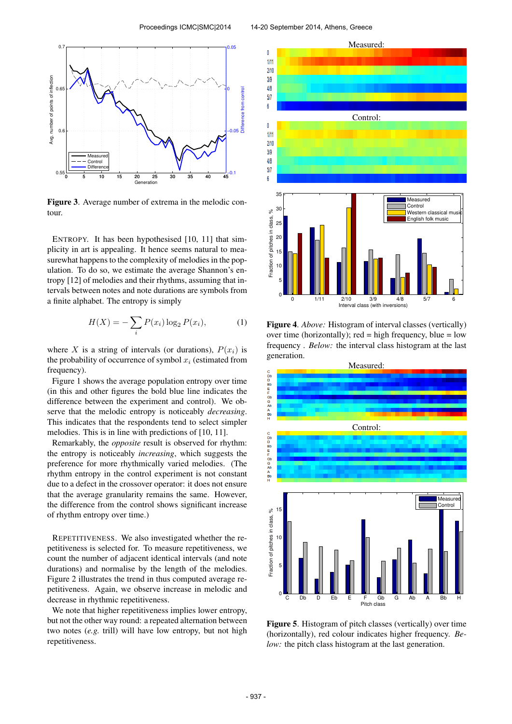

Figure 3. Average number of extrema in the melodic contour.

ENTROPY. It has been hypothesised [10, 11] that simplicity in art is appealing. It hence seems natural to measurewhat happens to the complexity of melodies in the population. To do so, we estimate the average Shannon's entropy [12] of melodies and their rhythms, assuming that intervals between notes and note durations are symbols from a finite alphabet. The entropy is simply

$$
H(X) = -\sum_{i} P(x_i) \log_2 P(x_i),
$$
 (1)

where X is a string of intervals (or durations),  $P(x_i)$  is the probability of occurrence of symbol  $x_i$  (estimated from frequency).

Figure 1 shows the average population entropy over time (in this and other figures the bold blue line indicates the difference between the experiment and control). We observe that the melodic entropy is noticeably *decreasing*. This indicates that the respondents tend to select simpler melodies. This is in line with predictions of [10, 11].

Remarkably, the *opposite* result is observed for rhythm: the entropy is noticeably *increasing*, which suggests the preference for more rhythmically varied melodies. (The rhythm entropy in the control experiment is not constant due to a defect in the crossover operator: it does not ensure that the average granularity remains the same. However, the difference from the control shows significant increase of rhythm entropy over time.)

REPETITIVENESS. We also investigated whether the repetitiveness is selected for. To measure repetitiveness, we count the number of adjacent identical intervals (and note durations) and normalise by the length of the melodies. Figure 2 illustrates the trend in thus computed average repetitiveness. Again, we observe increase in melodic and decrease in rhythmic repetitiveness.

We note that higher repetitiveness implies lower entropy, but not the other way round: a repeated alternation between two notes (*e.g.* trill) will have low entropy, but not high repetitiveness.



Figure 4. *Above:* Histogram of interval classes (vertically) over time (horizontally); red = high frequency, blue =  $low$ frequency . *Below:* the interval class histogram at the last generation.



Figure 5. Histogram of pitch classes (vertically) over time (horizontally), red colour indicates higher frequency. *Below:* the pitch class histogram at the last generation.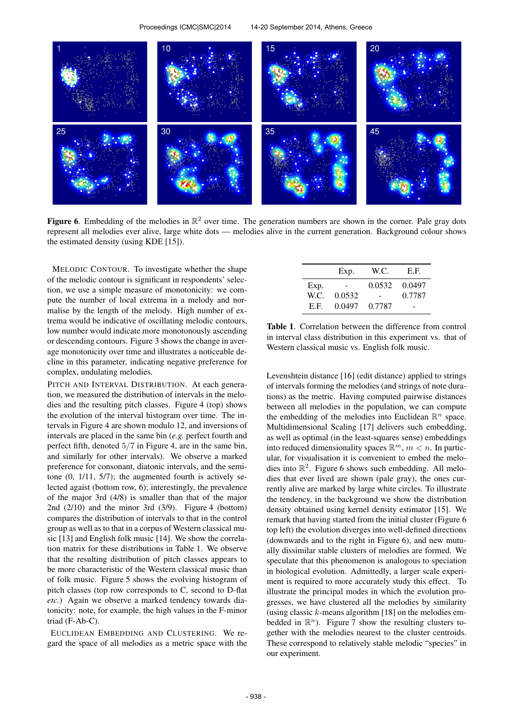

Figure 6. Embedding of the melodies in  $\mathbb{R}^2$  over time. The generation numbers are shown in the corner. Pale gray dots represent all melodies ever alive, large white dots — melodies alive in the current generation. Background colour shows the estimated density (using KDE [15]).

MELODIC CONTOUR. To investigate whether the shape of the melodic contour is significant in respondents' selection, we use a simple measure of monotonicity: we compute the number of local extrema in a melody and normalise by the length of the melody. High number of extrema would be indicative of oscillating melodic contours, low number would indicate more monotonously ascending or descending contours. Figure 3 shows the change in average monotonicity over time and illustrates a noticeable decline in this parameter, indicating negative preference for complex, undulating melodies.

PITCH AND INTERVAL DISTRIBUTION. At each generation, we measured the distribution of intervals in the melodies and the resulting pitch classes. Figure 4 (top) shows the evolution of the interval histogram over time. The intervals in Figure 4 are shown modulo 12, and inversions of intervals are placed in the same bin (*e.g.* perfect fourth and perfect fifth, denoted 5/7 in Figure 4, are in the same bin, and similarly for other intervals). We observe a marked preference for consonant, diatonic intervals, and the semitone (0, 1/11, 5/7); the augmented fourth is actively selected agaist (bottom row, 6); interestingly, the prevalence of the major 3rd (4/8) is smaller than that of the major 2nd (2/10) and the minor 3rd (3/9). Figure 4 (bottom) compares the distribution of intervals to that in the control group as well as to that in a corpus of Western classical music [13] and English folk music [14]. We show the correlation matrix for these distributions in Table 1. We observe that the resulting distribution of pitch classes appears to be more characteristic of the Western classical music than of folk music. Figure 5 shows the evolving histogram of pitch classes (top row corresponds to C, second to D-flat *etc.*) Again we observe a marked tendency towards diatonicity: note, for example, the high values in the F-minor triad (F-Ab-C).

EUCLIDEAN EMBEDDING AND CLUSTERING. We regard the space of all melodies as a metric space with the

|      | Exp.   | W.C.   | E.F.   |
|------|--------|--------|--------|
| Exp. |        | 0.0532 | 0.0497 |
| W.C. | 0.0532 |        | 0.7787 |
| E.F. | 0.0497 | 0.7787 |        |

Table 1. Correlation between the difference from control in interval class distribution in this experiment vs. that of Western classical music vs. English folk music.

Levenshtein distance [16] (edit distance) applied to strings of intervals forming the melodies (and strings of note durations) as the metric. Having computed pairwise distances between all melodies in the population, we can compute the embedding of the melodies into Euclidean  $\mathbb{R}^n$  space. Multidimensional Scaling [17] delivers such embedding, as well as optimal (in the least-squares sense) embeddings into reduced dimensionality spaces  $\mathbb{R}^m$ ,  $m < n$ . In particular, for visualisation it is convenient to embed the melodies into  $\mathbb{R}^2$ . Figure 6 shows such embedding. All melodies that ever lived are shown (pale gray), the ones currently alive are marked by large white circles. To illustrate the tendency, in the background we show the distribution density obtained using kernel density estimator [15]. We remark that having started from the initial cluster (Figure 6 top left) the evolution diverges into well-defined directions (downwards and to the right in Figure 6), and new mutually dissimilar stable clusters of melodies are formed. We speculate that this phenomenon is analogous to speciation in biological evolution. Admittedly, a larger scale experiment is required to more accurately study this effect. To illustrate the principal modes in which the evolution progresses, we have clustered all the melodies by similarity (using classic  $k$ -means algorithm [18] on the melodies embedded in  $\mathbb{R}^n$ ). Figure 7 show the resulting clusters together with the melodies nearest to the cluster centroids. These correspond to relatively stable melodic "species" in our experiment.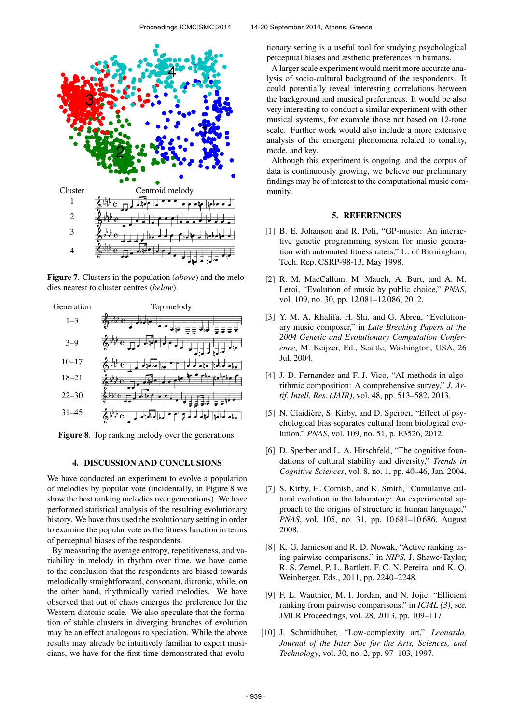

Figure 7. Clusters in the population (*above*) and the melodies nearest to cluster centres (*below*).



Figure 8. Top ranking melody over the generations.

#### 4. DISCUSSION AND CONCLUSIONS

We have conducted an experiment to evolve a population of melodies by popular vote (incidentally, in Figure 8 we show the best ranking melodies over generations). We have performed statistical analysis of the resulting evolutionary history. We have thus used the evolutionary setting in order to examine the popular vote as the fitness function in terms of perceptual biases of the respondents.

By measuring the average entropy, repetitiveness, and variability in melody in rhythm over time, we have come to the conclusion that the respondents are biased towards melodically straightforward, consonant, diatonic, while, on the other hand, rhythmically varied melodies. We have observed that out of chaos emerges the preference for the Western diatonic scale. We also speculate that the formation of stable clusters in diverging branches of evolution may be an effect analogous to speciation. While the above results may already be intuitively familiar to expert musicians, we have for the first time demonstrated that evolutionary setting is a useful tool for studying psychological perceptual biases and æsthetic preferences in humans.

A larger scale experiment would merit more accurate analysis of socio-cultural background of the respondents. It could potentially reveal interesting correlations between the background and musical preferences. It would be also very interesting to conduct a similar experiment with other musical systems, for example those not based on 12-tone scale. Further work would also include a more extensive analysis of the emergent phenomena related to tonality, mode, and key.

Although this experiment is ongoing, and the corpus of data is continuously growing, we believe our preliminary findings may be of interest to the computational music community.

# 5. REFERENCES

- [1] B. E. Johanson and R. Poli, "GP-music: An interactive genetic programming system for music generation with automated fitness raters," U. of Birmingham, Tech. Rep. CSRP-98-13, May 1998.
- [2] R. M. MacCallum, M. Mauch, A. Burt, and A. M. Leroi, "Evolution of music by public choice," *PNAS*, vol. 109, no. 30, pp. 12 081–12 086, 2012.
- [3] Y. M. A. Khalifa, H. Shi, and G. Abreu, "Evolutionary music composer," in *Late Breaking Papers at the 2004 Genetic and Evolutionary Computation Conference*, M. Keijzer, Ed., Seattle, Washington, USA, 26 Jul. 2004.
- [4] J. D. Fernandez and F. J. Vico, "AI methods in algorithmic composition: A comprehensive survey," *J. Artif. Intell. Res. (JAIR)*, vol. 48, pp. 513–582, 2013.
- [5] N. Claidière, S. Kirby, and D. Sperber, "Effect of psychological bias separates cultural from biological evolution." *PNAS*, vol. 109, no. 51, p. E3526, 2012.
- [6] D. Sperber and L. A. Hirschfeld, "The cognitive foundations of cultural stability and diversity," *Trends in Cognitive Sciences*, vol. 8, no. 1, pp. 40–46, Jan. 2004.
- [7] S. Kirby, H. Cornish, and K. Smith, "Cumulative cultural evolution in the laboratory: An experimental approach to the origins of structure in human language," *PNAS*, vol. 105, no. 31, pp. 10 681–10 686, August 2008.
- [8] K. G. Jamieson and R. D. Nowak, "Active ranking using pairwise comparisons." in *NIPS*, J. Shawe-Taylor, R. S. Zemel, P. L. Bartlett, F. C. N. Pereira, and K. Q. Weinberger, Eds., 2011, pp. 2240–2248.
- [9] F. L. Wauthier, M. I. Jordan, and N. Jojic, "Efficient ranking from pairwise comparisons." in *ICML (3)*, ser. JMLR Proceedings, vol. 28, 2013, pp. 109–117.
- [10] J. Schmidhuber, "Low-complexity art," *Leonardo, Journal of the Inter Soc for the Arts, Sciences, and Technology*, vol. 30, no. 2, pp. 97–103, 1997.